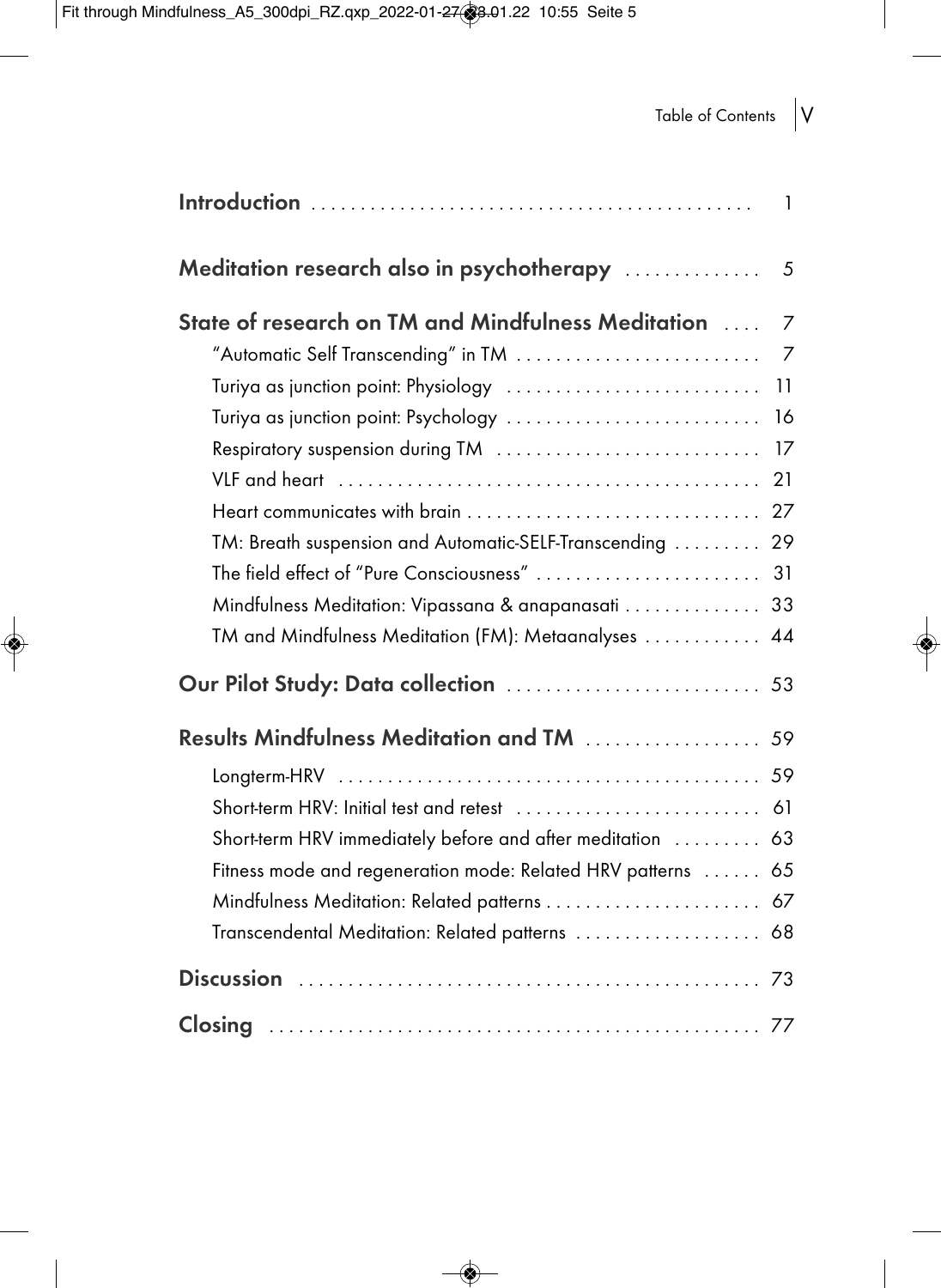$\Rightarrow$ 

## Table of Contents  $\big|V$

|                                                              | 1              |
|--------------------------------------------------------------|----------------|
| Meditation research also in psychotherapy                    | 5              |
| State of research on TM and Mindfulness Meditation           | $\overline{7}$ |
| "Automatic Self Transcending" in TM                          | 7              |
| Turiya as junction point: Physiology                         | 11             |
| Turiya as junction point: Psychology                         | 16             |
| Respiratory suspension during TM                             | 17             |
|                                                              | 21             |
|                                                              | 27             |
| TM: Breath suspension and Automatic-SELF-Transcending        | 29             |
| The field effect of "Pure Consciousness"                     | 31             |
| Mindfulness Meditation: Vipassana & anapanasati              | 33             |
| TM and Mindfulness Meditation (FM): Metaanalyses             | 44             |
| Our Pilot Study: Data collection  53                         |                |
| <b>Results Mindfulness Meditation and TM</b> 59              |                |
|                                                              |                |
| Short-term HRV: Initial test and retest                      | 61             |
| Short-term HRV immediately before and after meditation  63   |                |
| Fitness mode and regeneration mode: Related HRV patterns  65 |                |
| Mindfulness Meditation: Related patterns  67                 |                |
| Transcendental Meditation: Related patterns  68              |                |
|                                                              |                |
|                                                              |                |

 $\rightarrow$ 

◈